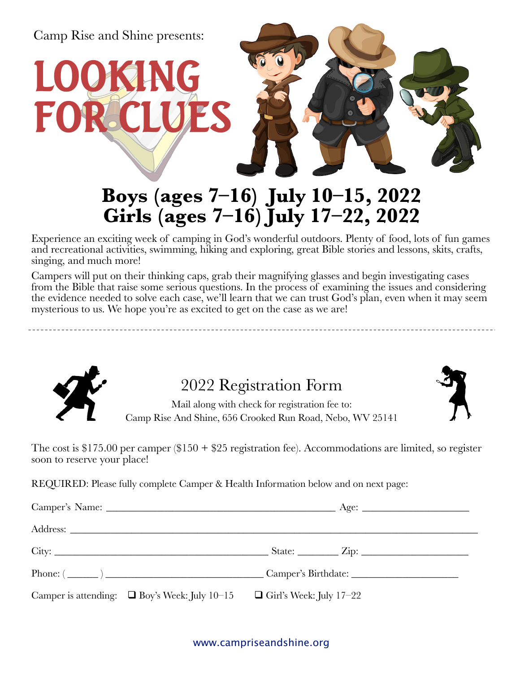

# **Boys (ages 7–16) July 10–15, 2022 Girls (ages 7–16) July 17–22, 2022**

Experience an exciting week of camping in God's wonderful outdoors. Plenty of food, lots of fun games and recreational activities, swimming, hiking and exploring, great Bible stories and lessons, skits, crafts, singing, and much more!

Campers will put on their thinking caps, grab their magnifying glasses and begin investigating cases from the Bible that raise some serious questions. In the process of examining the issues and considering the evidence needed to solve each case, we'll learn that we can trust God's plan, even when it may seem mysterious to us. We hope you're as excited to get on the case as we are!



## 2022 Registration Form

Mail along with check for registration fee to: Camp Rise And Shine, 656 Crooked Run Road, Nebo, WV 25141

The cost is \$175.00 per camper (\$150 + \$25 registration fee). Accommodations are limited, so register soon to reserve your place!

REQUIRED: Please fully complete Camper & Health Information below and on next page:

| Camper is attending: $\Box$ Boy's Week: July 10-15 $\Box$ Girl's Week: July 17-22 |  |
|-----------------------------------------------------------------------------------|--|